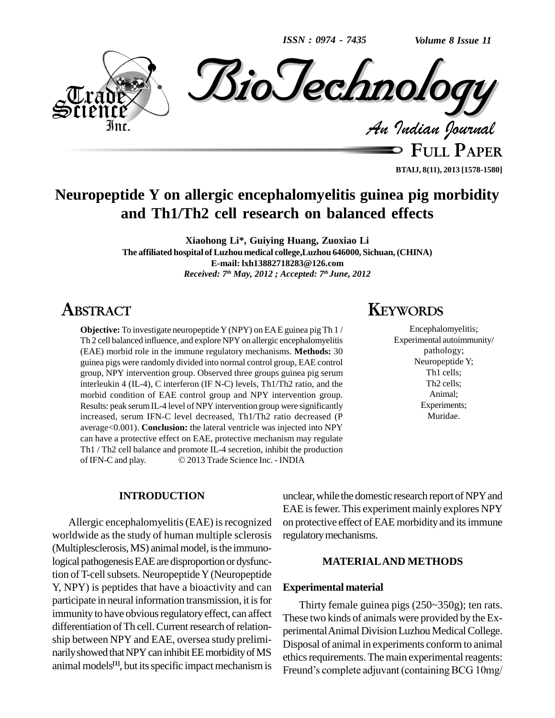*ISSN : 0974 - 7435*

*Volume 8 Issue 11*



**FULL PAPER BTAIJ, 8(11), 2013 [1578-1580]**

# **Neuropeptide Y on allergic encephalomyelitis guinea pig morbidity and Th1/Th2 cell research on balanced effects**

**Xiaohong Li\*, Guiying Huang, Zuoxiao Li The affiliated hospital of Luzhou medical college,Luzhou 646000, Sichuan,(CHINA) E-mail: [lxh13882718283@126.com](mailto:lxh13882718283@162.com)** *Received: 7 th May, 2012 ; Accepted: 7 th June, 2012*

# **ABSTRACT**

**Objective:** To investigate neuropeptide Y (NPY) on EAE guinea pig Th 1/ Th 2 cell balanced influence, and explore NPY on allergic encephalomyelitis (EAE) morbid role in the immune regulatory mechanisms. **Methods:** 30 guinea pigs were randomly divided into normal control group, EAE control group, NPY intervention group. Observed three groups guinea pig serum interleukin 4 (IL-4), C interferon (IF N-C) levels, Th1/Th2 ratio, and the morbid condition of EAE control group and NPY intervention group. Results: peak serum IL-4 level of NPY intervention group were significantly increased, serum IFN-C level decreased, Th1/Th2 ratio decreased (P average<0.001). **Conclusion:** the lateral ventricle was injected into NPY can have a protective effect on EAE, protective mechanism may regulate Th1 / Th2 cell balance and promote IL-4 secretion, inhibit the production can have a protective effect on EAE, protective mechanism may regulate<br>Th1 / Th2 cell balance and promote IL-4 secretion, inhibit the production<br>of IFN-C and play. © 2013 Trade Science Inc. - INDIA

### **INTRODUCTION**

Allergic encephalomyelitis (EAE) is recognized worldwide as the study of human multiple sclerosis (Multiplesclerosis, MS) animal model, is the immunological pathogenesis EAE are disproportion or dysfunction of T-cell subsets. Neuropeptide Y (Neuropeptide) Y, NPY) is peptides that have a bioactivity and can participate in neural information transmission, it is for immunity to have obvious regulatory effect, can affect differentiation of Th cell. Current research of relationship between NPY and EAE, oversea study preliminarily showed that NPY can inhibit EE morbidity of MS animal models<sup>[1]</sup>, but its specific impact mechanism is  $\frac{1}{2}$ 

# **KEYWORDS**

Encephalomyelitis; Experimental autoimmunity/ pathology; Neuropeptide Y; Th1 cells; Th2 cells; Animal; Experiments; Muridae.

unclear, while the domestic research report of NPY and EAE is fewer. This experiment mainly explores NPY on protective effect of EAE morbidityand itsimmune regulatory mechanisms.

#### **MATERIALAND METHODS**

#### **Experimental material**

Thirty female guinea pigs (250~350g); ten rats. These two kinds of animals were provided by the Ex perimental Animal Division Luzhou Medical College. Disposal of animal in experiments conformto animal ethics requirements. The main experimental reagents: Freund's complete adjuvant (containing BCG 10mg/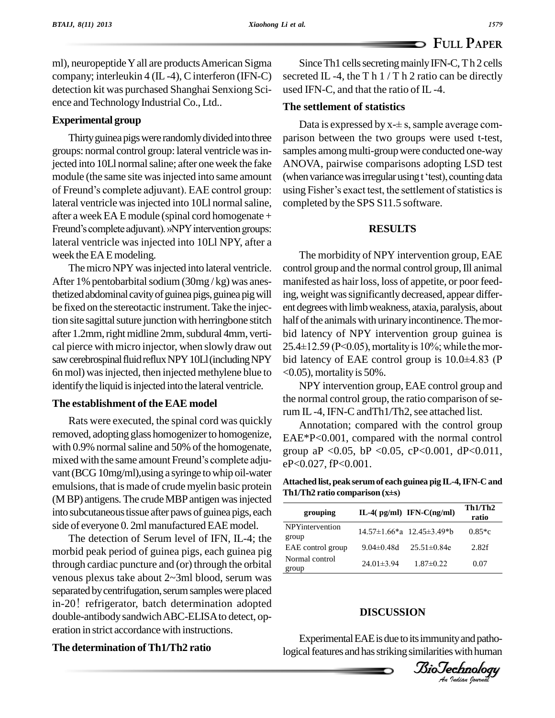ml), neuropeptide Y all are products American Sigma company; interleukin 4 (IL -4), Cinterferon (IFN-C) detection kit was purchased Shanghai Senxiong Sci ence and Technology Industrial Co., Ltd..

# **Experimental group**

Thirty guinea pigs were randomly divided into three groups: normal control group: lateral ventriclewasinjected into 10Ll normal saline; after one week the fake ANO<br>module (the same site was injected into same amount (when<br>of Freund's complete adjuvant). EAE control group: using module (the same site was injected into same amount (when variance was irregular using t 'test), counting data lateral ventricle was injected into 10Ll normal saline, complete adjuvant). »NPY intervention groups: after a week  $E A E$  module (spinal cord homogenate + lateral ventricle was injected into 10Ll NPY, after a week the EA E modeling.

The micro NPY was injected into lateral ventricle. After 1% pentobarbital sodium  $(30mg/kg)$  was anesthetized abdominal cavity of guinea pigs, guinea pig will be fixed on the stereotactic instrument.Take the injection site sagittal suture junction with herringbone stitch after 1.2mm, right midline 2mm, subdural 4mm, vertical pierce with micro injector, when slowly draw out  $25.4 \pm 12.59$  (P<0.05), mortality is 10%; while the morsaw cerebrospinal fluid reflux NPY 10Ll (including NPY bid latency of EAE control group is  $10.0\pm4.83$  (P 6n mol) wasinjected, then injected methylene blue to identify the liquid is injected into the lateral ventricle.

# **The establishment of the EAE model**

Rats were executed, the spinal cord was quickly removed, adopting glass homogenizer to homogenize, with 0.9% normal saline and 50% of the homogenate,  $\sigma_{\rm r}$ removed, adopting glass homogenizer to homogenize,<br>with 0.9% normal saline and 50% of the homogenate,<br>mixed with the same amount Freund's complete adjuvant (BCG 10mg/ml), using a syringe to whip oil-water emulsions, that is made of crude myelin basic protein<br> $Th1/Th2$  ratio comparison (x+s) (MBP) antigens.The crudeMBPantigen wasinjected into subcutaneous tissue after paws of guinea pigs, each side of everyone 0. 2ml manufactured EAE model.

The detection of Serum level of IFN, IL-4; the morbid peak period of guinea pigs, each guinea pig through cardiac puncture and (or) through the orbital venous plexus take about 2~3ml blood, serum was separated by centrifugation, serum samples were placed in-20! refrigerator, batch determination adopted double-antibodysandwichABC-ELISAto detect, op eration in strict accordance with instructions.

# **The determination of Th1/Th2 ratio**

Since Th1 cells secreting mainly IFN-C, Th2 cells secreted IL -4, the T h  $1/T$  h  $2$  ratio can be directly used IFN-C, and that the ratio of IL-4.

## **The settlement of statistics**

Data is expressed by  $x - \pm s$ , sample average comparison between the two groups were used t-test, samples among multi-group were conducted one-way ANOVA, pairwise comparisons adopting LSD test samples among multi-group were conducted one-way<br>ANOVA, pairwise comparisons adopting LSD test<br>(when variance was irregular using t 'test), counting data ANOVA, pairwise comparisons adopting LSD test<br>(when variance was irregular using t 'test), counting data<br>using Fisher's exact test, the settlement of statistics is completed by the SPS S11.5 software.

## **RESULTS**

The morbidity of NPY intervention group, EAE control group and the normal control group, Ill animal manifested as hair loss, loss of appetite, or poor feeding, weight was significantly decreased, appear different degrees with limb weakness, ataxia, paralysis, about half of the animals with urinary incontinence. The morbid latency of NPY intervention group guinea is half of the animals with urinary incontinence. The morbid latency of NPY intervention group guinea is 25.4±12.59 (P<0.05), mortality is 10%; while the morbid latency of NPY intervention group guinea is  $25.4\pm12.59$  (P<0.05), mortality is 10%; while the morbid latency of EAE control group is  $10.0\pm4.83$  (P  $\leq$ 0.05), mortality is 50%.

NPY intervention group, EAE control group and the normal control group, the ratio comparison of serum IL-4, IFN-C and Th1/Th2, see attached list.

Annotation; compared with the control group EAE\*P<0.001, compared with the normal control group aP < 0.05, bP < 0.05, cP < 0.001, dP < 0.011, eP<0.027, fP<0.001.

**Attached list, peakserumof each guinea pig IL-4,IFN-C and Th1/Th2 ratio comparison (x±s)**

| grouping                 |                  | IL-4( $pg/ml$ ) IFN- $C(ng/ml)$                                 | Th1/Th2<br>ratio |
|--------------------------|------------------|-----------------------------------------------------------------|------------------|
| NPYintervention<br>group |                  | $14.57 \pm 1.66$ <sup>*</sup> a $12.45 \pm 3.49$ <sup>*</sup> b | $0.85 *c$        |
| EAE control group        | $9.04\pm0.48d$   | $25.51 \pm 0.84e$                                               | 2.82f            |
| Normal control<br>group  | $24.01 \pm 3.94$ | $1.87 \pm 0.22$                                                 | 0.07             |

## **DISCUSSION**

Experimental EAE is due to its immunity and pathological features and has striking similarities with human

*Indian Journal*